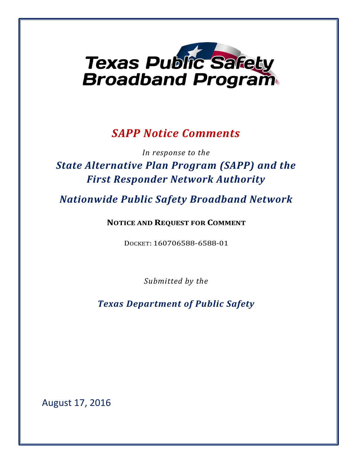

# *SAPP Notice Comments*

**State Alternative Plan Program (SAPP) and the** *In response to the First Responder Network Authority* 

*Nationwide Public Safety Broadband Network*

**NOTICE AND REQUEST FOR COMMENT**

DOCKET: 160706588-6588-01

*Submitted by the*

*Texas Department of Public Safety*

August 17, 2016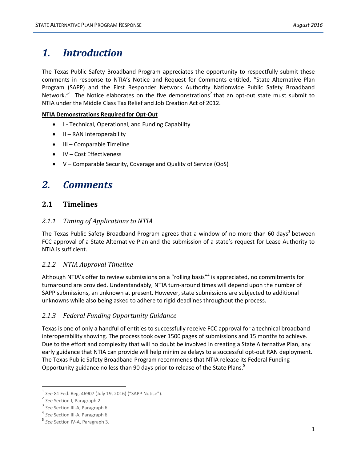## *1. Introduction*

The Texas Public Safety Broadband Program appreciates the opportunity to respectfully submit these comments in response to NTIA's Notice and Request for Comments entitled, "State Alternative Plan Program (SAPP) and the First Responder Network Authority Nationwide Public Safety Broadband Network." $1$  The Notice elaborates on the five demonstrations<sup>2</sup> that an opt-out state must submit to NTIA under the Middle Class Tax Relief and Job Creation Act of 2012.

#### **NTIA Demonstrations Required for Opt-Out**

- I Technical, Operational, and Funding Capability
- II RAN Interoperability
- III Comparable Timeline
- IV Cost Effectiveness
- V Comparable Security, Coverage and Quality of Service (QoS)

## *2. Comments*

## **2.1 Timelines**

#### *2.1.1 Timing of Applications to NTIA*

The Texas Public Safety Broadband Program agrees that a window of no more than 60 days<sup>3</sup> between FCC approval of a State Alternative Plan and the submission of a state's request for Lease Authority to NTIA is sufficient.

#### *2.1.2 NTIA Approval Timeline*

Although NTIA's offer to review submissions on a "rolling basis"<sup>4</sup> is appreciated, no commitments for turnaround are provided. Understandably, NTIA turn-around times will depend upon the number of SAPP submissions, an unknown at present. However, state submissions are subjected to additional unknowns while also being asked to adhere to rigid deadlines throughout the process.

### *2.1.3 Federal Funding Opportunity Guidance*

Texas is one of only a handful of entities to successfully receive FCC approval for a technical broadband interoperability showing. The process took over 1500 pages of submissions and 15 months to achieve. Due to the effort and complexity that will no doubt be involved in creating a State Alternative Plan, any early guidance that NTIA can provide will help minimize delays to a successful opt-out RAN deployment. The Texas Public Safety Broadband Program recommends that NTIA release its Federal Funding Opportunity guidance no less than 90 days prior to release of the State Plans.**<sup>5</sup>**

l

<sup>1</sup> *See* 81 Fed. Reg. 46907 (July 19, 2016) ("SAPP Notice").

<sup>2</sup> *See* Section I, Paragraph 2.

<sup>3</sup> *See* Section III-A, Paragraph 6

<sup>4</sup> *See* Section III-A, Paragraph 6.

<sup>5</sup> *See* Section IV-A, Paragraph 3.